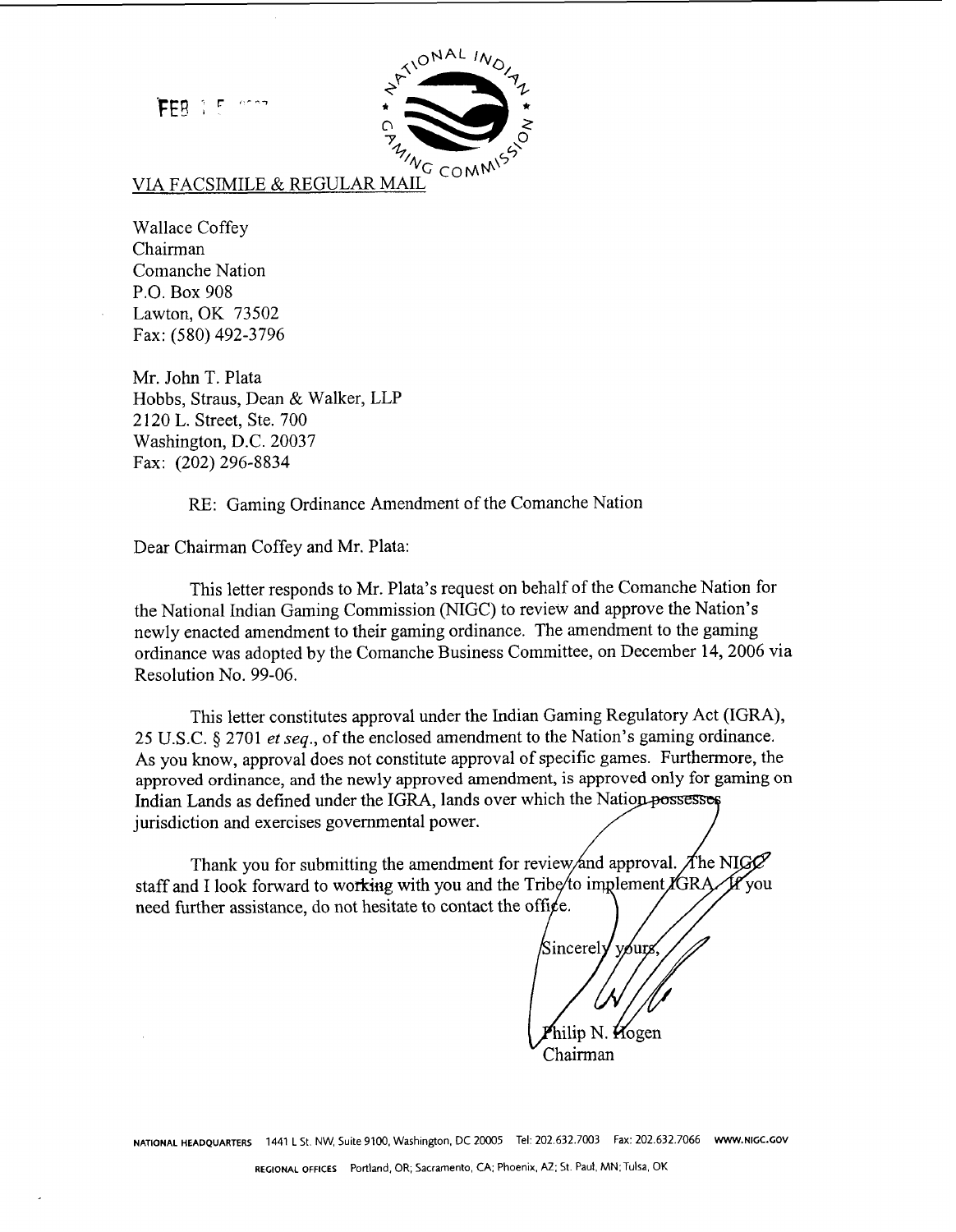FFR 1 5



## VIA FACSIMILE & REGULAR MAIL

Wallace Coffey Chairman Comanche Nation P.O. Box 908 Lawton, OK 73502 Fax: (580) 492-3796

Mr. John T. Plata Hobbs, Straus, Dean & Walker, LLP 2 120 L. Street, Ste. 700 Washington, D.C. 20037 Fax: (202) 296-8834

RE: Gaming Ordinance Amendment of the Comanche Nation

Dear Chairman Coffey and Mr. Plata:

This letter responds to Mr. Plata's request on behalf of the Comanche Nation for the National Indian Gaming Commission (NIGC) to review and approve the Nation's newly enacted amendment to their gaming ordinance. The amendment to the gaming ordinance was adopted by the Comanche Business Committee, on December 14,2006 via Resolution No. 99-06.

This letter constitutes approval under the Indian Gaming Regulatory Act (IGRA), 25 U.S.C. *5* 2701 et seq., of the enclosed amendment to the Nation's gaming ordinance. As you know, approval does not constitute approval of specific games. Furthermore, the approved ordinance, and the newly approved amendment, is approved only for gaming on Indian Lands as defined under the IGRA, lands over which the Nation possesses jurisdiction and exercises governmental power.

Thank you for submitting the amendment for review/and approval. The NIGG staff and I look forward to working with you and the Tribe/to implement IGRA 1P vou need further assistance, do not hesitate to contact the office.

Sincerely vөur lip N. Kogen Chairman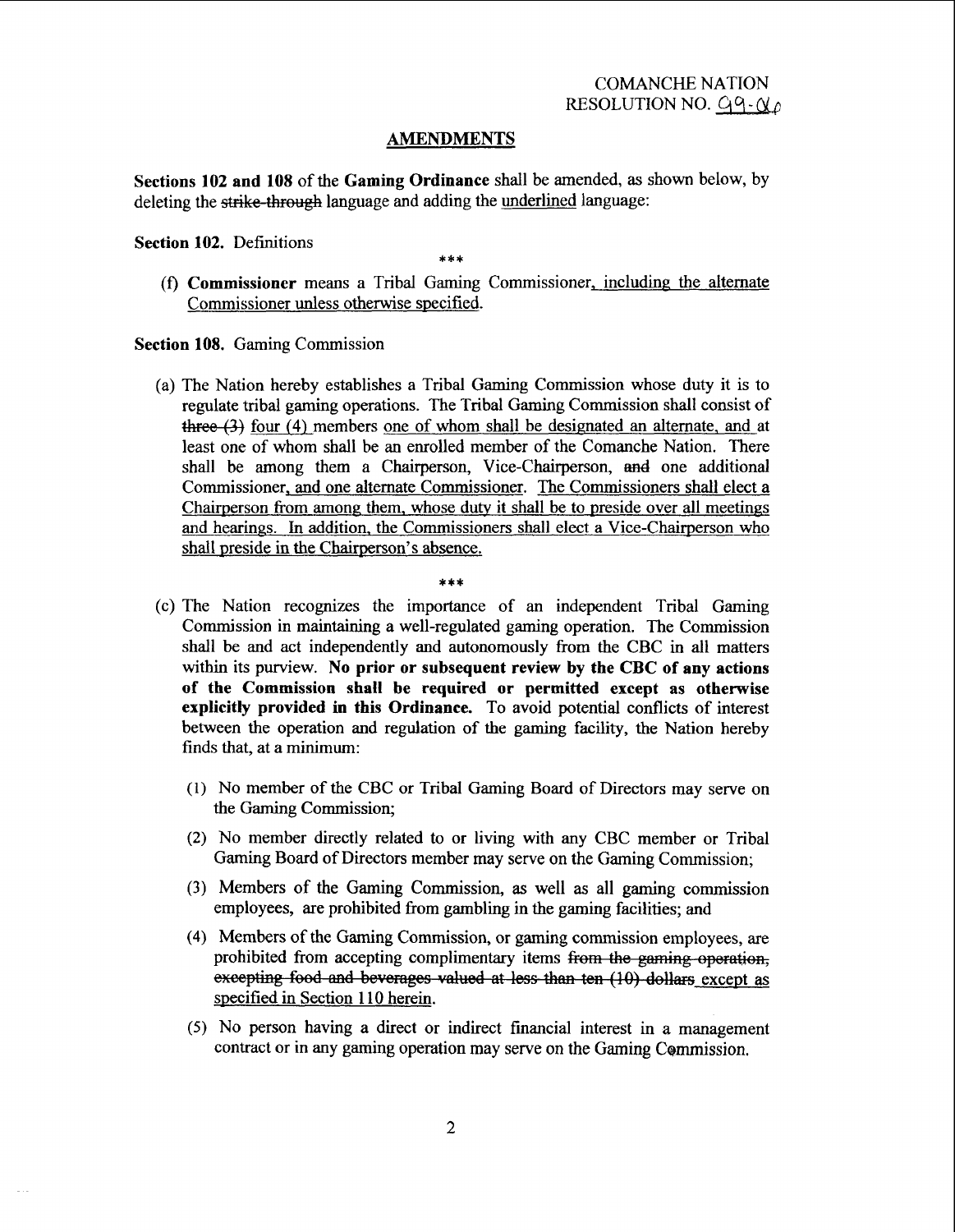### **AMENDMENTS**

**Sections 102 and 108** of the **Gaming Ordinance** shall be amended, as shown below, by deleting the *strike*-through language and adding the underlined language:

#### **Section 102.** Definitions

(f) **Commissioner** means a Tribal Gaming Commissioner, including the alternate Commissioner unless otherwise specified.

**Section 108.** Gaming Commission

(a) The Nation hereby establishes a Tribal Gaming Commission whose duty it is to regulate tribal gaming operations. The Tribal Gaming Commission shall consist of three (3) four (4) members one of whom shall be designated an alternate, and at least one of whom shall be an enrolled member of the Comanche Nation. There shall be among them a Chairperson, Vice-Chairperson, and one additional Commissioner, and one alternate Commissioner. The Commissioners shall elect a Chairperson from among them, whose duty it shall be to preside over all meetings and hearings. In addition. the Commissioners shall elect a Vice-Chairperson who shall preside in the Chairperson's absence.

- (c) The Nation recognizes the importance of an independent Tribal Gaming commission in maintaining a well-regulated gaming operation. The Commission shall be and act independently and autonomously from the CBC in all matters within its purview. **No prior or subsequent review by the CBC of any actions of the Commission shall be required or permitted except as otherwise explicitly provided in this Ordinance.** To avoid potential conflicts of interest between the operation and regulation of the gaming facility, the Nation hereby finds that, at a minimum:
	- (1) No member of the CBC or Tribal Gaming Board of Directors may serve on the Gaming Commission;
	- **(2)** No member directly related to or living with any CBC member or Tribal Gaming Board of Directors member may serve on the Gaming Commission;
	- **(3)** Members of the Gaming Commission, as well **as** all gaming commission employees, are prohibited fiom gambling in the gaming facilities; and
	- (4) Members of the Gaming Commission, or gaming commission employees, are prohibited from accepting complimentary items from the gaming operation, excepting food and beverages valued at less than ten (10) dollars except as specified in Section 1 10 herein.
	- (5) No person having a direct or indirect financial interest in a management contract or in any gaming operation may serve on the Gaming Commission.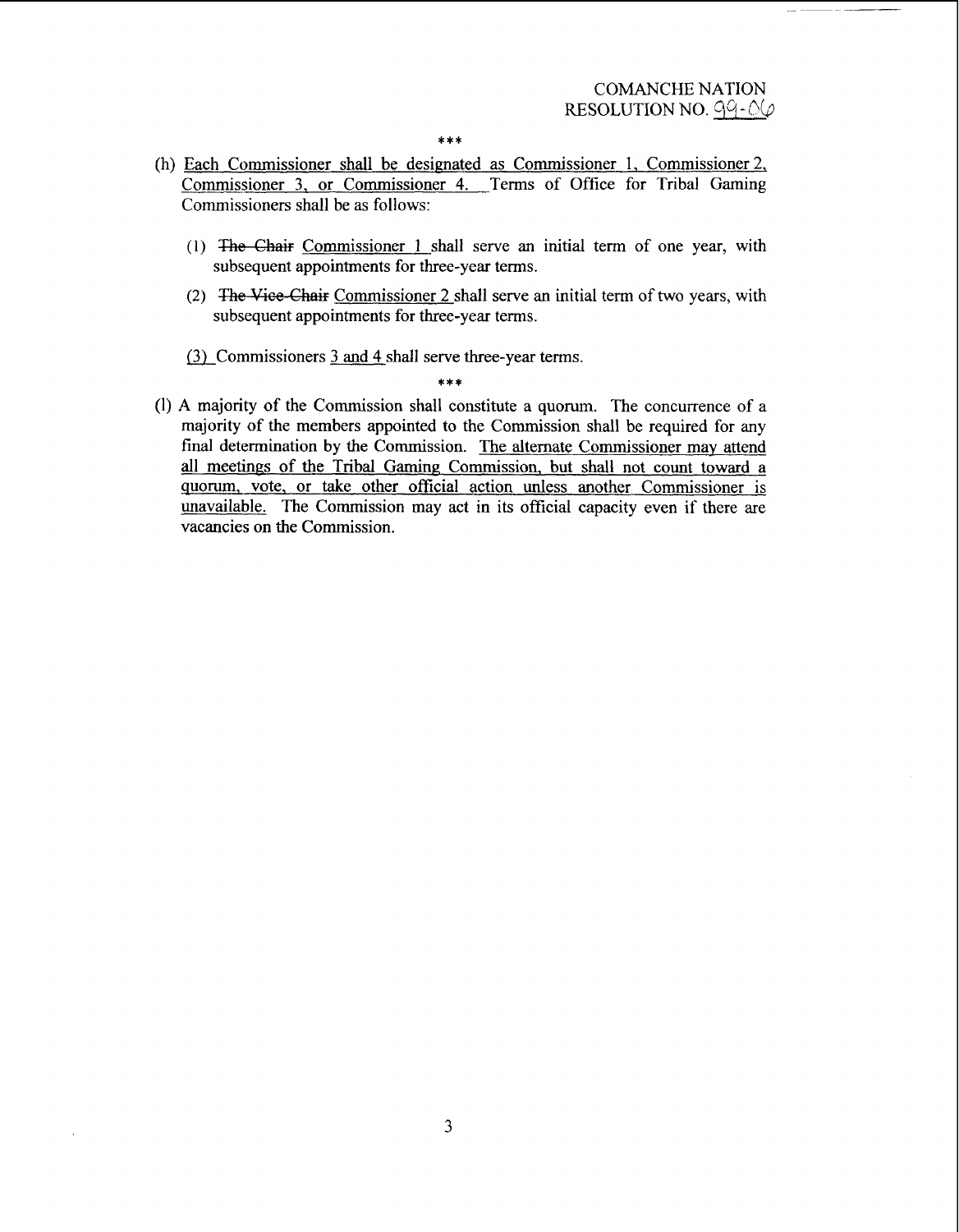$* * *$ 

- (h) Each Commissioner shall be designated as Commissioner 1, Commissioner 2, Commissioner 3, or Commissioner 4. Terms of Office for Tribal Gaming Commissioners shall be as follows:
	- (1) The Chair Commissioner 1 shall serve an initial term of one year, with subsequent appointments for three-year terms.
	- (2) The Viee-Chair Commissioner 2 shall serve an initial term of two years, with subsequent appointments for three-year terms.
	- (3) Commissioners 3 and 4 shall serve three-year terms.

**(1) A** majority of the Commission shall constitute a quorum. The concurrence of a majority of the members appointed to the Commission shall be required for any final determination by the Commission. The alternate Commissioner may attend all meetings of the Tribal Gaming Commission, but shall not count toward a quorum, vote, or take other official action unless another Commissioner is unavailable. The Commission may act in its official capacity even if there are vacancies on the Commission.